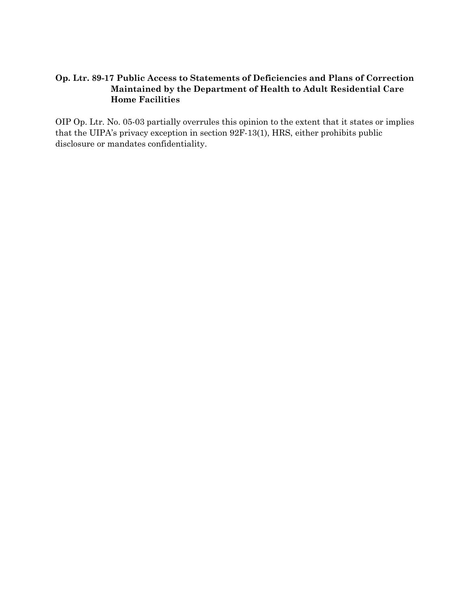# **Op. Ltr. 89-17 Public Access to Statements of Deficiencies and Plans of Correction Maintained by the Department of Health to Adult Residential Care Home Facilities**

OIP Op. Ltr. No. 05-03 partially overrules this opinion to the extent that it states or implies that the UIPA's privacy exception in section 92F-13(1), HRS, either prohibits public disclosure or mandates confidentiality.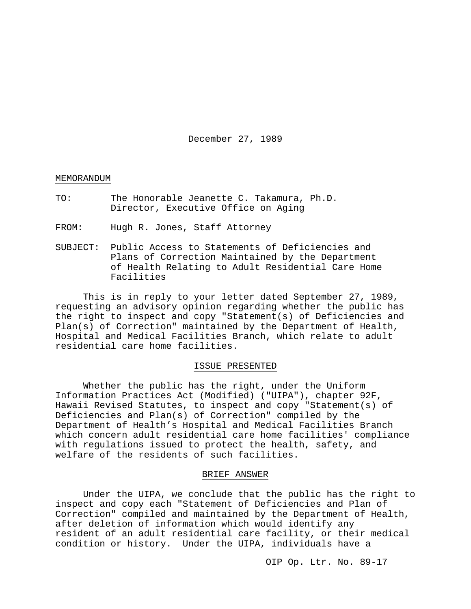December 27, 1989

## MEMORANDUM

- TO: The Honorable Jeanette C. Takamura, Ph.D. Director, Executive Office on Aging
- FROM: Hugh R. Jones, Staff Attorney
- SUBJECT: Public Access to Statements of Deficiencies and Plans of Correction Maintained by the Department of Health Relating to Adult Residential Care Home Facilities

This is in reply to your letter dated September 27, 1989, requesting an advisory opinion regarding whether the public has the right to inspect and copy "Statement(s) of Deficiencies and Plan(s) of Correction" maintained by the Department of Health, Hospital and Medical Facilities Branch, which relate to adult residential care home facilities.

## ISSUE PRESENTED

Whether the public has the right, under the Uniform Information Practices Act (Modified) ("UIPA"), chapter 92F, Hawaii Revised Statutes, to inspect and copy "Statement(s) of Deficiencies and Plan(s) of Correction" compiled by the Department of Health's Hospital and Medical Facilities Branch which concern adult residential care home facilities' compliance with regulations issued to protect the health, safety, and welfare of the residents of such facilities.

## BRIEF ANSWER

Under the UIPA, we conclude that the public has the right to inspect and copy each "Statement of Deficiencies and Plan of Correction" compiled and maintained by the Department of Health, after deletion of information which would identify any resident of an adult residential care facility, or their medical condition or history. Under the UIPA, individuals have a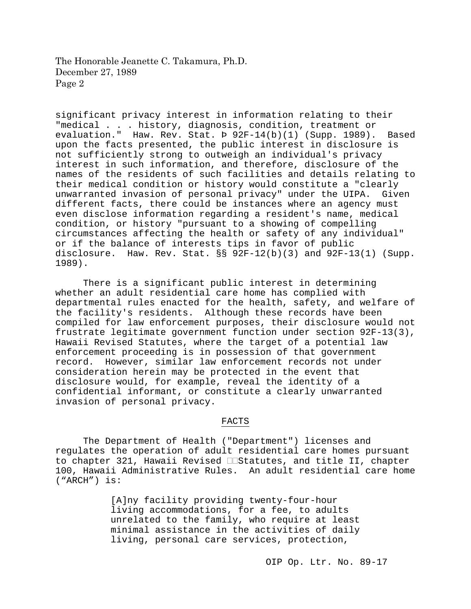significant privacy interest in information relating to their "medical . . . history, diagnosis, condition, treatment or evaluation." Haw. Rev. Stat. Þ 92F-14(b)(1) (Supp. 1989). Based upon the facts presented, the public interest in disclosure is not sufficiently strong to outweigh an individual's privacy interest in such information, and therefore, disclosure of the names of the residents of such facilities and details relating to their medical condition or history would constitute a "clearly<br>unwarranted invasion of personal privacy" under the UIPA. Given unwarranted invasion of personal privacy" under the UIPA. different facts, there could be instances where an agency must even disclose information regarding a resident's name, medical condition, or history "pursuant to a showing of compelling circumstances affecting the health or safety of any individual" or if the balance of interests tips in favor of public disclosure. Haw. Rev. Stat.  $\S$ § 92F-12(b)(3) and 92F-13(1) (Supp. 1989).

There is a significant public interest in determining whether an adult residential care home has complied with departmental rules enacted for the health, safety, and welfare of the facility's residents. Although these records have been compiled for law enforcement purposes, their disclosure would not frustrate legitimate government function under section 92F-13(3), Hawaii Revised Statutes, where the target of a potential law enforcement proceeding is in possession of that government record. However, similar law enforcement records not under consideration herein may be protected in the event that disclosure would, for example, reveal the identity of a confidential informant, or constitute a clearly unwarranted invasion of personal privacy.

## FACTS

The Department of Health ("Department") licenses and regulates the operation of adult residential care homes pursuant to chapter 321, Hawaii Revised  $\Box$ Statutes, and title II, chapter 100, Hawaii Administrative Rules. An adult residential care home ("ARCH") is:

> [A]ny facility providing twenty-four-hour living accommodations, for a fee, to adults unrelated to the family, who require at least minimal assistance in the activities of daily living, personal care services, protection,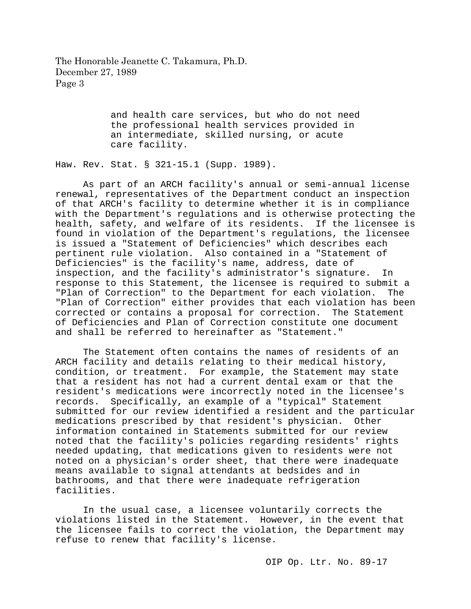> and health care services, but who do not need the professional health services provided in an intermediate, skilled nursing, or acute care facility.

Haw. Rev. Stat. § 321-15.1 (Supp. 1989).

As part of an ARCH facility's annual or semi-annual license renewal, representatives of the Department conduct an inspection of that ARCH's facility to determine whether it is in compliance with the Department's regulations and is otherwise protecting the health, safety, and welfare of its residents. If the licensee is found in violation of the Department's regulations, the licensee is issued a "Statement of Deficiencies" which describes each pertinent rule violation. Also contained in a "Statement of Deficiencies" is the facility's name, address, date of inspection, and the facility's administrator's signature. In response to this Statement, the licensee is required to submit a<br>"Plan of Correction" to the Department for each violation. The "Plan of Correction" to the Department for each violation. "Plan of Correction" either provides that each violation has been corrected or contains a proposal for correction. The Statement of Deficiencies and Plan of Correction constitute one document and shall be referred to hereinafter as "Statement."

The Statement often contains the names of residents of an ARCH facility and details relating to their medical history, condition, or treatment. For example, the Statement may state that a resident has not had a current dental exam or that the resident's medications were incorrectly noted in the licensee's records. Specifically, an example of a "typical" Statement submitted for our review identified a resident and the particular<br>medications prescribed by that resident's physician. Other medications prescribed by that resident's physician. information contained in Statements submitted for our review noted that the facility's policies regarding residents' rights needed updating, that medications given to residents were not noted on a physician's order sheet, that there were inadequate means available to signal attendants at bedsides and in bathrooms, and that there were inadequate refrigeration facilities.

In the usual case, a licensee voluntarily corrects the violations listed in the Statement. However, in the event that the licensee fails to correct the violation, the Department may refuse to renew that facility's license.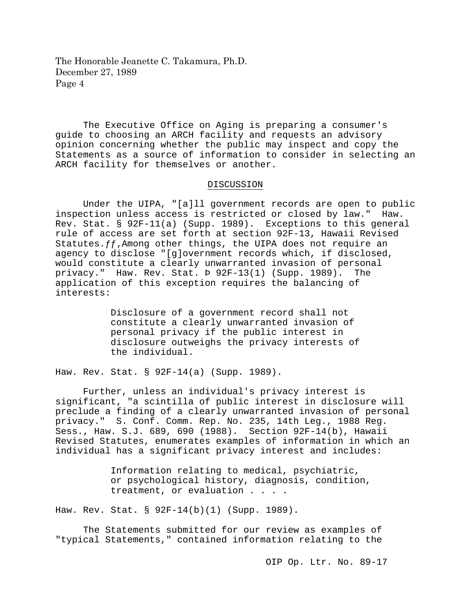The Executive Office on Aging is preparing a consumer's guide to choosing an ARCH facility and requests an advisory opinion concerning whether the public may inspect and copy the Statements as a source of information to consider in selecting an ARCH facility for themselves or another.

## DISCUSSION

Under the UIPA, "[a]ll government records are open to public inspection unless access is restricted or closed by law." Haw. Rev. Stat. § 92F-11(a) (Supp. 1989). Exceptions to this general rule of access are set forth at section 92F-13, Hawaii Revised Statutes.  $ff$ , Among other things, the UIPA does not require an agency to disclose "[g]overnment records which, if disclosed, would constitute a clearly unwarranted invasion of personal privacy." Haw. Rev. Stat. Þ 92F-13(1) (Supp. 1989). The application of this exception requires the balancing of interests:

> Disclosure of a government record shall not constitute a clearly unwarranted invasion of personal privacy if the public interest in disclosure outweighs the privacy interests of the individual.

Haw. Rev. Stat. § 92F-14(a) (Supp. 1989).

Further, unless an individual's privacy interest is significant, "a scintilla of public interest in disclosure will preclude a finding of a clearly unwarranted invasion of personal privacy." S. Conf. Comm. Rep. No. 235, 14th Leg., 1988 Reg. Sess., Haw. S.J. 689, 690 (1988). Section 92F-14(b), Hawaii Revised Statutes, enumerates examples of information in which an individual has a significant privacy interest and includes:

> Information relating to medical, psychiatric, or psychological history, diagnosis, condition, treatment, or evaluation . . . .

Haw. Rev. Stat. § 92F-14(b)(1) (Supp. 1989).

The Statements submitted for our review as examples of "typical Statements," contained information relating to the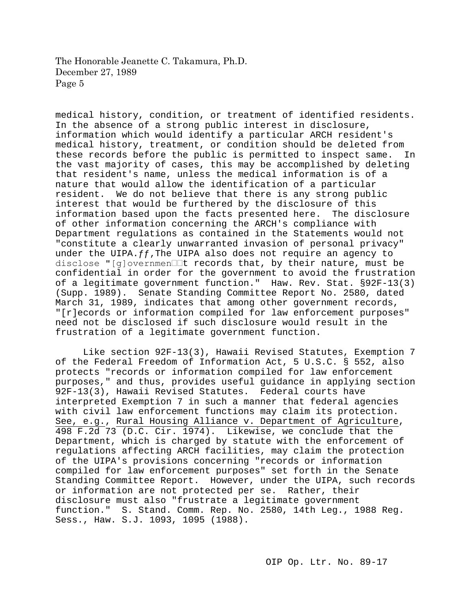medical history, condition, or treatment of identified residents. In the absence of a strong public interest in disclosure, information which would identify a particular ARCH resident's medical history, treatment, or condition should be deleted from these records before the public is permitted to inspect same. In the vast majority of cases, this may be accomplished by deleting that resident's name, unless the medical information is of a nature that would allow the identification of a particular resident. We do not believe that there is any strong public interest that would be furthered by the disclosure of this information based upon the facts presented here. The disclosure of other information concerning the ARCH's compliance with Department regulations as contained in the Statements would not "constitute a clearly unwarranted invasion of personal privacy" under the UIPA. $ff$ , The UIPA also does not require an agency to disclose "[g]overnmen It records that, by their nature, must be confidential in order for the government to avoid the frustration of a legitimate government function." Haw. Rev. Stat. §92F-13(3) (Supp. 1989). Senate Standing Committee Report No. 2580, dated March 31, 1989, indicates that among other government records, "[r]ecords or information compiled for law enforcement purposes" need not be disclosed if such disclosure would result in the frustration of a legitimate government function.

Like section 92F-13(3), Hawaii Revised Statutes, Exemption 7 of the Federal Freedom of Information Act, 5 U.S.C. § 552, also protects "records or information compiled for law enforcement purposes," and thus, provides useful guidance in applying section 92F-13(3), Hawaii Revised Statutes. Federal courts have interpreted Exemption 7 in such a manner that federal agencies with civil law enforcement functions may claim its protection. See, e.g., Rural Housing Alliance v. Department of Agriculture, 498 F.2d 73 (D.C. Cir. 1974). Likewise, we conclude that the Department, which is charged by statute with the enforcement of regulations affecting ARCH facilities, may claim the protection of the UIPA's provisions concerning "records or information compiled for law enforcement purposes" set forth in the Senate Standing Committee Report. However, under the UIPA, such records or information are not protected per se. Rather, their disclosure must also "frustrate a legitimate government function." S. Stand. Comm. Rep. No. 2580, 14th Leg., 1988 Reg. Sess., Haw. S.J. 1093, 1095 (1988).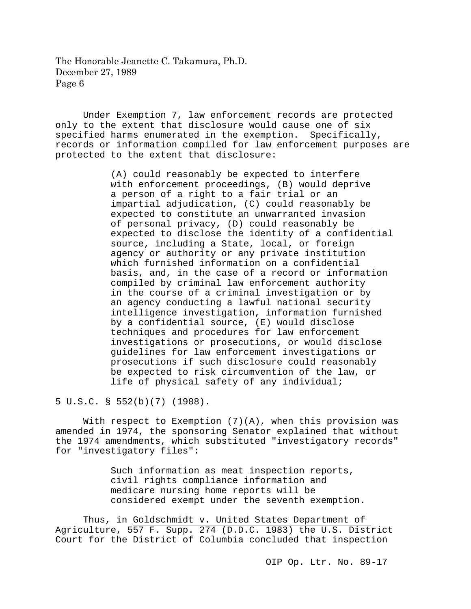Under Exemption 7, law enforcement records are protected only to the extent that disclosure would cause one of six specified harms enumerated in the exemption. Specifically, records or information compiled for law enforcement purposes are protected to the extent that disclosure:

> (A) could reasonably be expected to interfere with enforcement proceedings, (B) would deprive a person of a right to a fair trial or an impartial adjudication, (C) could reasonably be expected to constitute an unwarranted invasion of personal privacy, (D) could reasonably be expected to disclose the identity of a confidential source, including a State, local, or foreign agency or authority or any private institution which furnished information on a confidential basis, and, in the case of a record or information compiled by criminal law enforcement authority in the course of a criminal investigation or by an agency conducting a lawful national security intelligence investigation, information furnished by a confidential source, (E) would disclose techniques and procedures for law enforcement investigations or prosecutions, or would disclose guidelines for law enforcement investigations or prosecutions if such disclosure could reasonably be expected to risk circumvention of the law, or life of physical safety of any individual;

5 U.S.C. § 552(b)(7) (1988).

With respect to Exemption (7)(A), when this provision was amended in 1974, the sponsoring Senator explained that without the 1974 amendments, which substituted "investigatory records" for "investigatory files":

> Such information as meat inspection reports, civil rights compliance information and medicare nursing home reports will be considered exempt under the seventh exemption.

Thus, in Goldschmidt v. United States Department of Agriculture, 557 F. Supp. 274 (D.D.C. 1983) the U.S. District Court for the District of Columbia concluded that inspection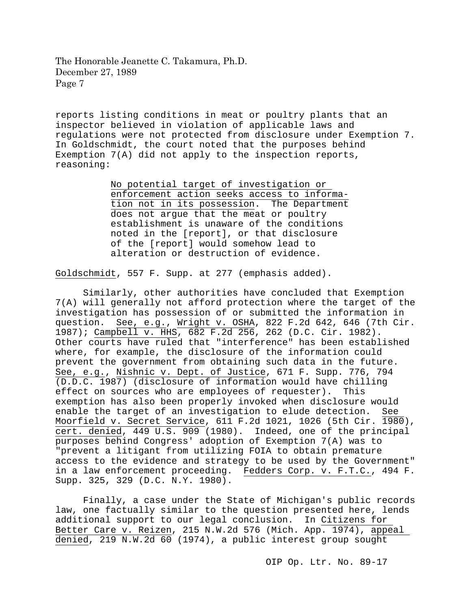reports listing conditions in meat or poultry plants that an inspector believed in violation of applicable laws and regulations were not protected from disclosure under Exemption 7. In Goldschmidt, the court noted that the purposes behind Exemption 7(A) did not apply to the inspection reports, reasoning:

> No potential target of investigation or enforcement action seeks access to information not in its possession. The Department does not argue that the meat or poultry establishment is unaware of the conditions noted in the [report], or that disclosure of the [report] would somehow lead to alteration or destruction of evidence.

Goldschmidt, 557 F. Supp. at 277 (emphasis added).

Similarly, other authorities have concluded that Exemption 7(A) will generally not afford protection where the target of the investigation has possession of or submitted the information in question. See, e.g., Wright v. OSHA, 822 F.2d 642, 646 (7th Cir. 1987); Campbell v. HHS, 682 F.2d 256, 262 (D.C. Cir. 1982). Other courts have ruled that "interference" has been established where, for example, the disclosure of the information could prevent the government from obtaining such data in the future. See, e.g., Nishnic v. Dept. of Justice, 671 F. Supp. 776, 794 (D.D.C. 1987) (disclosure of information would have chilling effect on sources who are employees of requester). This exemption has also been properly invoked when disclosure would enable the target of an investigation to elude detection. See Moorfield v. Secret Service, 611 F.2d 1021, 1026 (5th Cir. 1980), cert. denied, 449 U.S. 909 (1980). Indeed, one of the principal purposes behind Congress' adoption of Exemption 7(A) was to "prevent a litigant from utilizing FOIA to obtain premature access to the evidence and strategy to be used by the Government" in a law enforcement proceeding. Fedders Corp. v. F.T.C., 494 F. Supp. 325, 329 (D.C. N.Y. 1980).

Finally, a case under the State of Michigan's public records law, one factually similar to the question presented here, lends additional support to our legal conclusion. In Citizens for Better Care v. Reizen, 215 N.W.2d 576 (Mich. App. 1974), appeal denied, 219 N.W.2d 60 (1974), a public interest group sought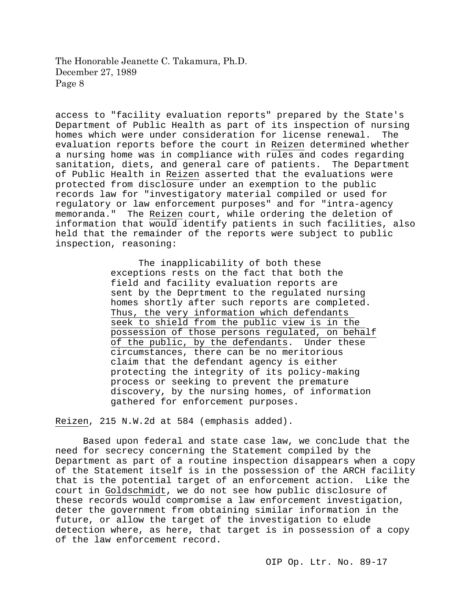access to "facility evaluation reports" prepared by the State's Department of Public Health as part of its inspection of nursing<br>homes which were under consideration for license renewal. The homes which were under consideration for license renewal. evaluation reports before the court in Reizen determined whether a nursing home was in compliance with rules and codes regarding sanitation, diets, and general care of patients. The Department of Public Health in Reizen asserted that the evaluations were protected from disclosure under an exemption to the public records law for "investigatory material compiled or used for regulatory or law enforcement purposes" and for "intra-agency memoranda." The Reizen court, while ordering the deletion of information that would identify patients in such facilities, also held that the remainder of the reports were subject to public inspection, reasoning:

> The inapplicability of both these exceptions rests on the fact that both the field and facility evaluation reports are sent by the Deprtment to the regulated nursing homes shortly after such reports are completed. Thus, the very information which defendants seek to shield from the public view is in the possession of those persons regulated, on behalf of the public, by the defendants. Under these circumstances, there can be no meritorious claim that the defendant agency is either protecting the integrity of its policy-making process or seeking to prevent the premature discovery, by the nursing homes, of information gathered for enforcement purposes.

Reizen, 215 N.W.2d at 584 (emphasis added).

Based upon federal and state case law, we conclude that the need for secrecy concerning the Statement compiled by the Department as part of a routine inspection disappears when a copy of the Statement itself is in the possession of the ARCH facility that is the potential target of an enforcement action. Like the court in Goldschmidt, we do not see how public disclosure of these records would compromise a law enforcement investigation, deter the government from obtaining similar information in the future, or allow the target of the investigation to elude detection where, as here, that target is in possession of a copy of the law enforcement record.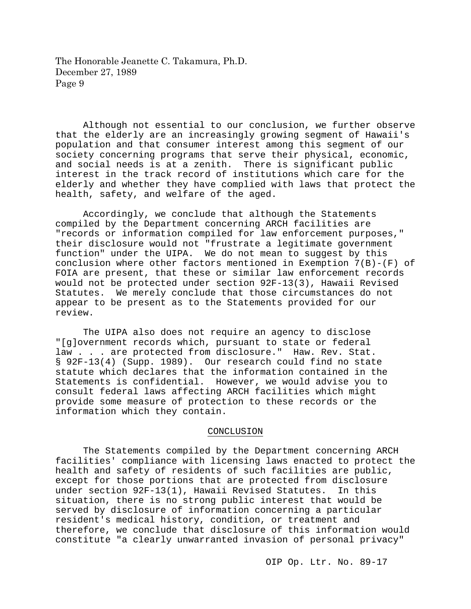Although not essential to our conclusion, we further observe that the elderly are an increasingly growing segment of Hawaii's population and that consumer interest among this segment of our society concerning programs that serve their physical, economic, and social needs is at a zenith. There is significant public interest in the track record of institutions which care for the elderly and whether they have complied with laws that protect the health, safety, and welfare of the aged.

Accordingly, we conclude that although the Statements compiled by the Department concerning ARCH facilities are "records or information compiled for law enforcement purposes," their disclosure would not "frustrate a legitimate government function" under the UIPA. We do not mean to suggest by this conclusion where other factors mentioned in Exemption 7(B)-(F) of FOIA are present, that these or similar law enforcement records would not be protected under section 92F-13(3), Hawaii Revised Statutes. We merely conclude that those circumstances do not appear to be present as to the Statements provided for our review.

The UIPA also does not require an agency to disclose "[g]overnment records which, pursuant to state or federal law . . . are protected from disclosure." Haw. Rev. Stat. § 92F-13(4) (Supp. 1989). Our research could find no state statute which declares that the information contained in the Statements is confidential. However, we would advise you to consult federal laws affecting ARCH facilities which might provide some measure of protection to these records or the information which they contain.

#### CONCLUSION

The Statements compiled by the Department concerning ARCH facilities' compliance with licensing laws enacted to protect the health and safety of residents of such facilities are public, except for those portions that are protected from disclosure<br>under section 92F-13(1), Hawaii Revised Statutes. In this under section 92F-13(1), Hawaii Revised Statutes. situation, there is no strong public interest that would be served by disclosure of information concerning a particular resident's medical history, condition, or treatment and therefore, we conclude that disclosure of this information would constitute "a clearly unwarranted invasion of personal privacy"